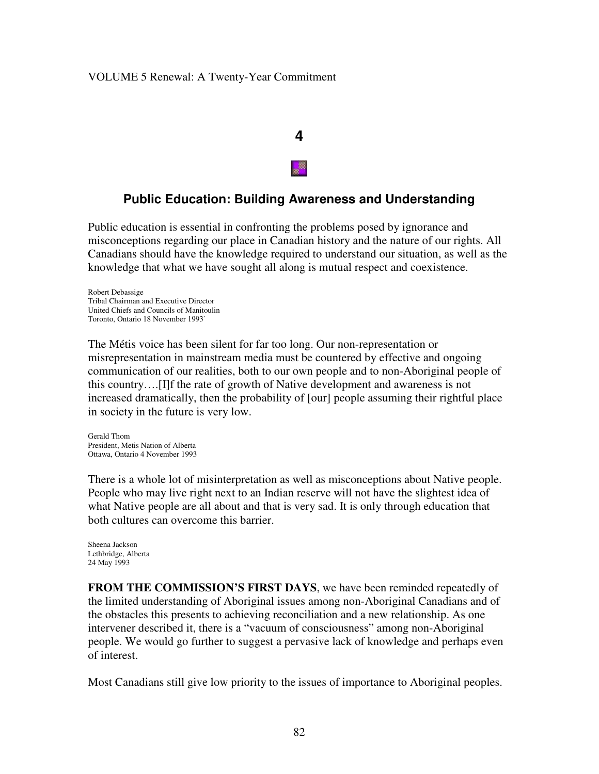

## **Public Education: Building Awareness and Understanding**

Public education is essential in confronting the problems posed by ignorance and misconceptions regarding our place in Canadian history and the nature of our rights. All Canadians should have the knowledge required to understand our situation, as well as the knowledge that what we have sought all along is mutual respect and coexistence.

Robert Debassige Tribal Chairman and Executive Director United Chiefs and Councils of Manitoulin Toronto, Ontario 18 November 1993 \*

The Métis voice has been silent for far too long. Our non-representation or misrepresentation in mainstream media must be countered by effective and ongoing communication of our realities, both to our own people and to non-Aboriginal people of this country….[I]f the rate of growth of Native development and awareness is not increased dramatically, then the probability of [our] people assuming their rightful place in society in the future is very low.

Gerald Thom President, Metis Nation of Alberta Ottawa, Ontario 4 November 1993

There is a whole lot of misinterpretation as well as misconceptions about Native people. People who may live right next to an Indian reserve will not have the slightest idea of what Native people are all about and that is very sad. It is only through education that both cultures can overcome this barrier.

Sheena Jackson Lethbridge, Alberta 24 May 1993

**FROM THE COMMISSION'S FIRST DAYS**, we have been reminded repeatedly of the limited understanding of Aboriginal issues among non-Aboriginal Canadians and of the obstacles this presents to achieving reconciliation and a new relationship. As one intervener described it, there is a "vacuum of consciousness" among non-Aboriginal people. We would go further to suggest a pervasive lack of knowledge and perhaps even of interest.

Most Canadians still give low priority to the issues of importance to Aboriginal peoples.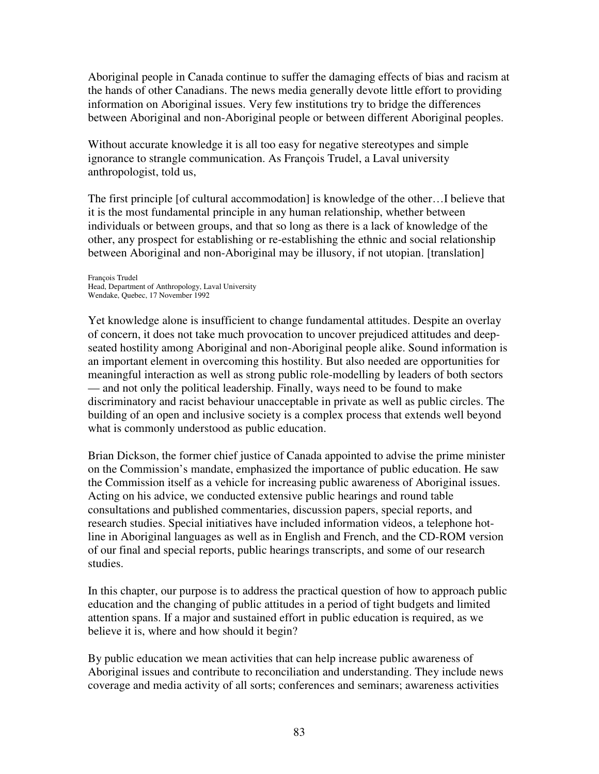Aboriginal people in Canada continue to suffer the damaging effects of bias and racism at the hands of other Canadians. The news media generally devote little effort to providing information on Aboriginal issues. Very few institutions try to bridge the differences between Aboriginal and non-Aboriginal people or between different Aboriginal peoples.

Without accurate knowledge it is all too easy for negative stereotypes and simple ignorance to strangle communication. As François Trudel, a Laval university anthropologist, told us,

The first principle [of cultural accommodation] is knowledge of the other…I believe that it is the most fundamental principle in any human relationship, whether between individuals or between groups, and that so long as there is a lack of knowledge of the other, any prospect for establishing or re-establishing the ethnic and social relationship between Aboriginal and non-Aboriginal may be illusory, if not utopian. [translation]

François Trudel Head, Department of Anthropology, Laval University Wendake, Quebec, 17 November 1992

Yet knowledge alone is insufficient to change fundamental attitudes. Despite an overlay of concern, it does not take much provocation to uncover prejudiced attitudes and deepseated hostility among Aboriginal and non-Aboriginal people alike. Sound information is an important element in overcoming this hostility. But also needed are opportunities for meaningful interaction as well as strong public role-modelling by leaders of both sectors — and not only the political leadership. Finally, ways need to be found to make discriminatory and racist behaviour unacceptable in private as well as public circles. The building of an open and inclusive society is a complex process that extends well beyond what is commonly understood as public education.

Brian Dickson, the former chief justice of Canada appointed to advise the prime minister on the Commission's mandate, emphasized the importance of public education. He saw the Commission itself as a vehicle for increasing public awareness of Aboriginal issues. Acting on his advice, we conducted extensive public hearings and round table consultations and published commentaries, discussion papers, special reports, and research studies. Special initiatives have included information videos, a telephone hotline in Aboriginal languages as well as in English and French, and the CD-ROM version of our final and special reports, public hearings transcripts, and some of our research studies.

In this chapter, our purpose is to address the practical question of how to approach public education and the changing of public attitudes in a period of tight budgets and limited attention spans. If a major and sustained effort in public education is required, as we believe it is, where and how should it begin?

By public education we mean activities that can help increase public awareness of Aboriginal issues and contribute to reconciliation and understanding. They include news coverage and media activity of all sorts; conferences and seminars; awareness activities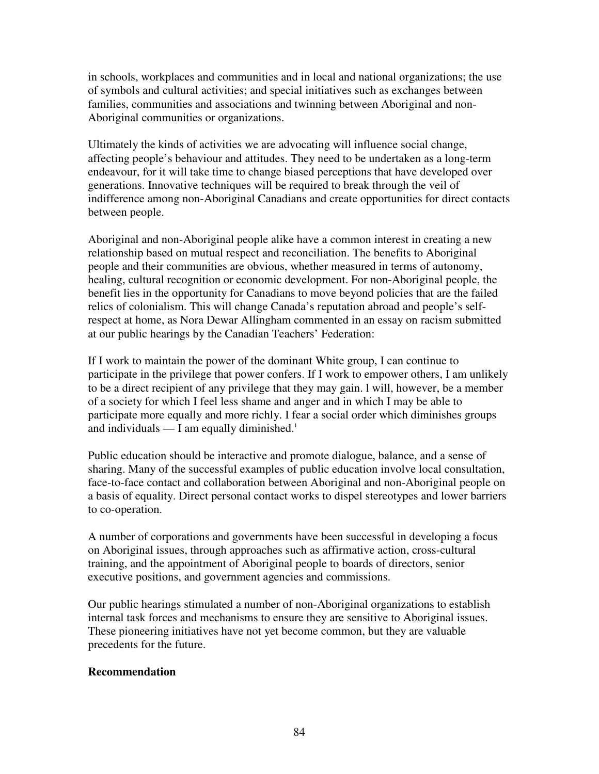in schools, workplaces and communities and in local and national organizations; the use of symbols and cultural activities; and special initiatives such as exchanges between families, communities and associations and twinning between Aboriginal and non-Aboriginal communities or organizations.

Ultimately the kinds of activities we are advocating will influence social change, affecting people's behaviour and attitudes. They need to be undertaken as a long-term endeavour, for it will take time to change biased perceptions that have developed over generations. Innovative techniques will be required to break through the veil of indifference among non-Aboriginal Canadians and create opportunities for direct contacts between people.

Aboriginal and non-Aboriginal people alike have a common interest in creating a new relationship based on mutual respect and reconciliation. The benefits to Aboriginal people and their communities are obvious, whether measured in terms of autonomy, healing, cultural recognition or economic development. For non-Aboriginal people, the benefit lies in the opportunity for Canadians to move beyond policies that are the failed relics of colonialism. This will change Canada's reputation abroad and people's selfrespect at home, as Nora Dewar Allingham commented in an essay on racism submitted at our public hearings by the Canadian Teachers' Federation:

If I work to maintain the power of the dominant White group, I can continue to participate in the privilege that power confers. If I work to empower others, I am unlikely to be a direct recipient of any privilege that they may gain. l will, however, be a member of a society for which I feel less shame and anger and in which I may be able to participate more equally and more richly. I fear a social order which diminishes groups and individuals — I am equally diminished. 1

Public education should be interactive and promote dialogue, balance, and a sense of sharing. Many of the successful examples of public education involve local consultation, face-to-face contact and collaboration between Aboriginal and non-Aboriginal people on a basis of equality. Direct personal contact works to dispel stereotypes and lower barriers to co-operation.

A number of corporations and governments have been successful in developing a focus on Aboriginal issues, through approaches such as affirmative action, cross-cultural training, and the appointment of Aboriginal people to boards of directors, senior executive positions, and government agencies and commissions.

Our public hearings stimulated a number of non-Aboriginal organizations to establish internal task forces and mechanisms to ensure they are sensitive to Aboriginal issues. These pioneering initiatives have not yet become common, but they are valuable precedents for the future.

#### **Recommendation**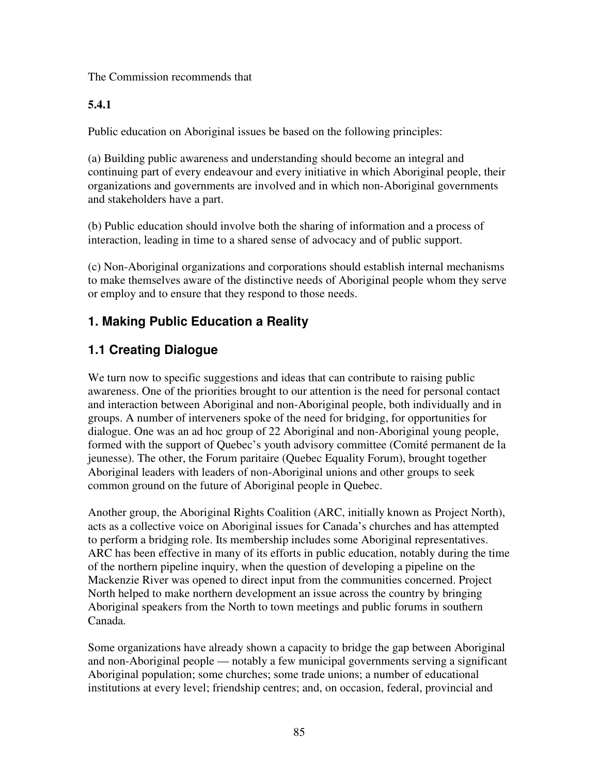The Commission recommends that

### **5.4.1**

Public education on Aboriginal issues be based on the following principles:

(a) Building public awareness and understanding should become an integral and continuing part of every endeavour and every initiative in which Aboriginal people, their organizations and governments are involved and in which non-Aboriginal governments and stakeholders have a part.

(b) Public education should involve both the sharing of information and a process of interaction, leading in time to a shared sense of advocacy and of public support.

(c) Non-Aboriginal organizations and corporations should establish internal mechanisms to make themselves aware of the distinctive needs of Aboriginal people whom they serve or employ and to ensure that they respond to those needs.

# **1. Making Public Education a Reality**

# **1.1 Creating Dialogue**

We turn now to specific suggestions and ideas that can contribute to raising public awareness. One of the priorities brought to our attention is the need for personal contact and interaction between Aboriginal and non-Aboriginal people, both individually and in groups. A number of interveners spoke of the need for bridging, for opportunities for dialogue. One was an ad hoc group of 22 Aboriginal and non-Aboriginal young people, formed with the support of Quebec's youth advisory committee (Comité permanent de la jeunesse). The other, the Forum paritaire (Quebec Equality Forum), brought together Aboriginal leaders with leaders of non-Aboriginal unions and other groups to seek common ground on the future of Aboriginal people in Quebec.

Another group, the Aboriginal Rights Coalition (ARC, initially known as Project North), acts as a collective voice on Aboriginal issues for Canada's churches and has attempted to perform a bridging role. Its membership includes some Aboriginal representatives. ARC has been effective in many of its efforts in public education, notably during the time of the northern pipeline inquiry, when the question of developing a pipeline on the Mackenzie River was opened to direct input from the communities concerned. Project North helped to make northern development an issue across the country by bringing Aboriginal speakers from the North to town meetings and public forums in southern Canada.

Some organizations have already shown a capacity to bridge the gap between Aboriginal and non-Aboriginal people — notably a few municipal governments serving a significant Aboriginal population; some churches; some trade unions; a number of educational institutions at every level; friendship centres; and, on occasion, federal, provincial and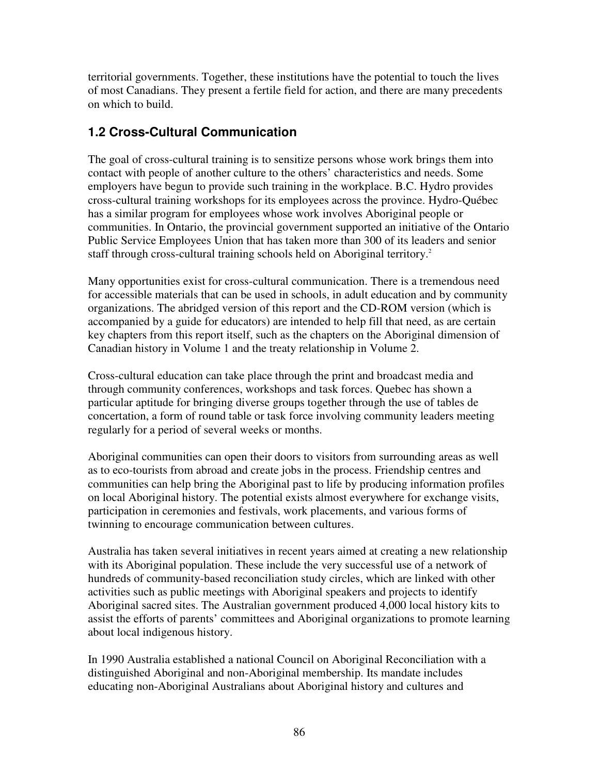territorial governments. Together, these institutions have the potential to touch the lives of most Canadians. They present a fertile field for action, and there are many precedents on which to build.

## **1.2 Cross-Cultural Communication**

The goal of cross-cultural training is to sensitize persons whose work brings them into contact with people of another culture to the others' characteristics and needs. Some employers have begun to provide such training in the workplace. B.C. Hydro provides cross-cultural training workshops for its employees across the province. Hydro-Québec has a similar program for employees whose work involves Aboriginal people or communities. In Ontario, the provincial government supported an initiative of the Ontario Public Service Employees Union that has taken more than 300 of its leaders and senior staff through cross-cultural training schools held on Aboriginal territory. 2

Many opportunities exist for cross-cultural communication. There is a tremendous need for accessible materials that can be used in schools, in adult education and by community organizations. The abridged version of this report and the CD-ROM version (which is accompanied by a guide for educators) are intended to help fill that need, as are certain key chapters from this report itself, such as the chapters on the Aboriginal dimension of Canadian history in Volume 1 and the treaty relationship in Volume 2.

Cross-cultural education can take place through the print and broadcast media and through community conferences, workshops and task forces. Quebec has shown a particular aptitude for bringing diverse groups together through the use of tables de concertation, a form of round table or task force involving community leaders meeting regularly for a period of several weeks or months.

Aboriginal communities can open their doors to visitors from surrounding areas as well as to eco-tourists from abroad and create jobs in the process. Friendship centres and communities can help bring the Aboriginal past to life by producing information profiles on local Aboriginal history. The potential exists almost everywhere for exchange visits, participation in ceremonies and festivals, work placements, and various forms of twinning to encourage communication between cultures.

Australia has taken several initiatives in recent years aimed at creating a new relationship with its Aboriginal population. These include the very successful use of a network of hundreds of community-based reconciliation study circles, which are linked with other activities such as public meetings with Aboriginal speakers and projects to identify Aboriginal sacred sites. The Australian government produced 4,000 local history kits to assist the efforts of parents' committees and Aboriginal organizations to promote learning about local indigenous history.

In 1990 Australia established a national Council on Aboriginal Reconciliation with a distinguished Aboriginal and non-Aboriginal membership. Its mandate includes educating non-Aboriginal Australians about Aboriginal history and cultures and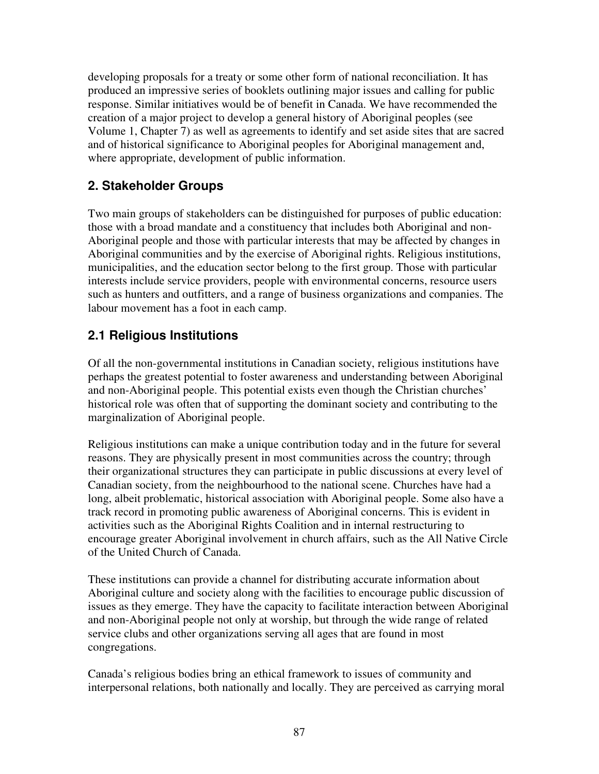developing proposals for a treaty or some other form of national reconciliation. It has produced an impressive series of booklets outlining major issues and calling for public response. Similar initiatives would be of benefit in Canada. We have recommended the creation of a major project to develop a general history of Aboriginal peoples (see Volume 1, Chapter 7) as well as agreements to identify and set aside sites that are sacred and of historical significance to Aboriginal peoples for Aboriginal management and, where appropriate, development of public information.

## **2. Stakeholder Groups**

Two main groups of stakeholders can be distinguished for purposes of public education: those with a broad mandate and a constituency that includes both Aboriginal and non-Aboriginal people and those with particular interests that may be affected by changes in Aboriginal communities and by the exercise of Aboriginal rights. Religious institutions, municipalities, and the education sector belong to the first group. Those with particular interests include service providers, people with environmental concerns, resource users such as hunters and outfitters, and a range of business organizations and companies. The labour movement has a foot in each camp.

# **2.1 Religious Institutions**

Of all the non-governmental institutions in Canadian society, religious institutions have perhaps the greatest potential to foster awareness and understanding between Aboriginal and non-Aboriginal people. This potential exists even though the Christian churches' historical role was often that of supporting the dominant society and contributing to the marginalization of Aboriginal people.

Religious institutions can make a unique contribution today and in the future for several reasons. They are physically present in most communities across the country; through their organizational structures they can participate in public discussions at every level of Canadian society, from the neighbourhood to the national scene. Churches have had a long, albeit problematic, historical association with Aboriginal people. Some also have a track record in promoting public awareness of Aboriginal concerns. This is evident in activities such as the Aboriginal Rights Coalition and in internal restructuring to encourage greater Aboriginal involvement in church affairs, such as the All Native Circle of the United Church of Canada.

These institutions can provide a channel for distributing accurate information about Aboriginal culture and society along with the facilities to encourage public discussion of issues as they emerge. They have the capacity to facilitate interaction between Aboriginal and non-Aboriginal people not only at worship, but through the wide range of related service clubs and other organizations serving all ages that are found in most congregations.

Canada's religious bodies bring an ethical framework to issues of community and interpersonal relations, both nationally and locally. They are perceived as carrying moral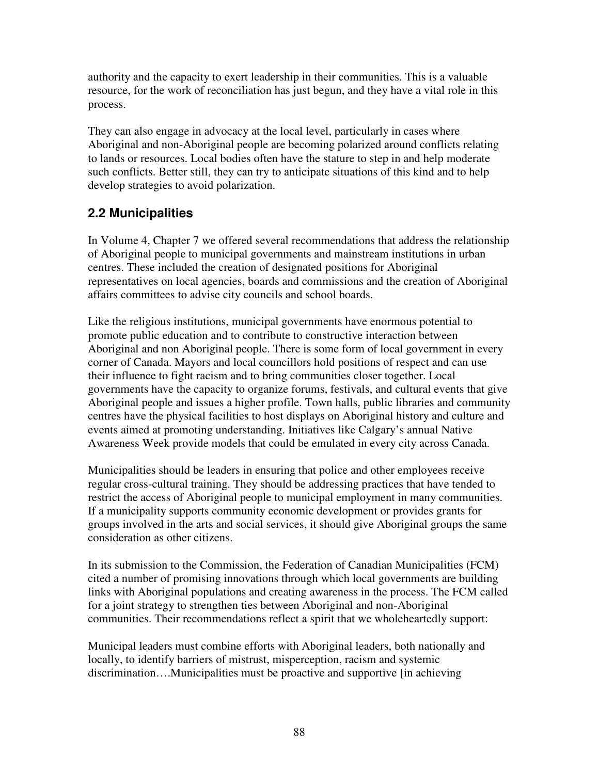authority and the capacity to exert leadership in their communities. This is a valuable resource, for the work of reconciliation has just begun, and they have a vital role in this process.

They can also engage in advocacy at the local level, particularly in cases where Aboriginal and non-Aboriginal people are becoming polarized around conflicts relating to lands or resources. Local bodies often have the stature to step in and help moderate such conflicts. Better still, they can try to anticipate situations of this kind and to help develop strategies to avoid polarization.

## **2.2 Municipalities**

In Volume 4, Chapter 7 we offered several recommendations that address the relationship of Aboriginal people to municipal governments and mainstream institutions in urban centres. These included the creation of designated positions for Aboriginal representatives on local agencies, boards and commissions and the creation of Aboriginal affairs committees to advise city councils and school boards.

Like the religious institutions, municipal governments have enormous potential to promote public education and to contribute to constructive interaction between Aboriginal and non Aboriginal people. There is some form of local government in every corner of Canada. Mayors and local councillors hold positions of respect and can use their influence to fight racism and to bring communities closer together. Local governments have the capacity to organize forums, festivals, and cultural events that give Aboriginal people and issues a higher profile. Town halls, public libraries and community centres have the physical facilities to host displays on Aboriginal history and culture and events aimed at promoting understanding. Initiatives like Calgary's annual Native Awareness Week provide models that could be emulated in every city across Canada.

Municipalities should be leaders in ensuring that police and other employees receive regular cross-cultural training. They should be addressing practices that have tended to restrict the access of Aboriginal people to municipal employment in many communities. If a municipality supports community economic development or provides grants for groups involved in the arts and social services, it should give Aboriginal groups the same consideration as other citizens.

In its submission to the Commission, the Federation of Canadian Municipalities (FCM) cited a number of promising innovations through which local governments are building links with Aboriginal populations and creating awareness in the process. The FCM called for a joint strategy to strengthen ties between Aboriginal and non-Aboriginal communities. Their recommendations reflect a spirit that we wholeheartedly support:

Municipal leaders must combine efforts with Aboriginal leaders, both nationally and locally, to identify barriers of mistrust, misperception, racism and systemic discrimination….Municipalities must be proactive and supportive [in achieving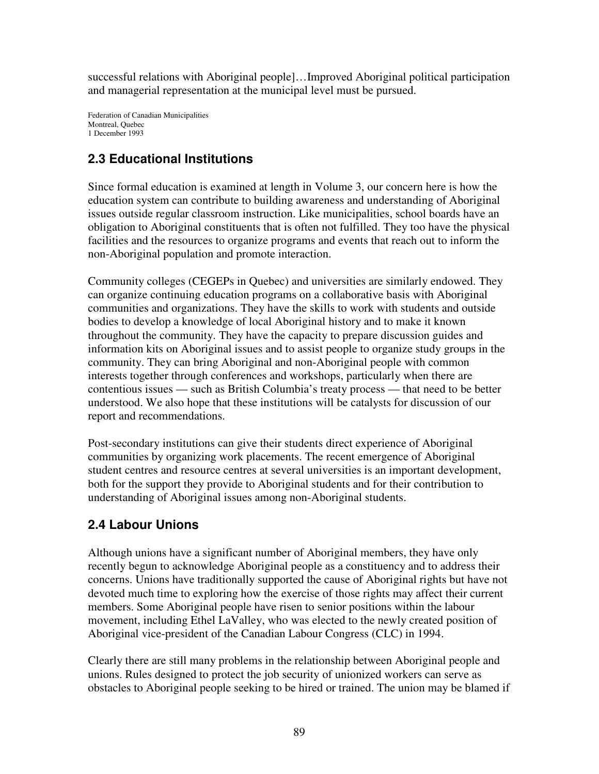successful relations with Aboriginal people]…Improved Aboriginal political participation and managerial representation at the municipal level must be pursued.

Federation of Canadian Municipalities Montreal, Quebec 1 December 1993

# **2.3 Educational Institutions**

Since formal education is examined at length in Volume 3, our concern here is how the education system can contribute to building awareness and understanding of Aboriginal issues outside regular classroom instruction. Like municipalities, school boards have an obligation to Aboriginal constituents that is often not fulfilled. They too have the physical facilities and the resources to organize programs and events that reach out to inform the non-Aboriginal population and promote interaction.

Community colleges (CEGEPs in Quebec) and universities are similarly endowed. They can organize continuing education programs on a collaborative basis with Aboriginal communities and organizations. They have the skills to work with students and outside bodies to develop a knowledge of local Aboriginal history and to make it known throughout the community. They have the capacity to prepare discussion guides and information kits on Aboriginal issues and to assist people to organize study groups in the community. They can bring Aboriginal and non-Aboriginal people with common interests together through conferences and workshops, particularly when there are contentious issues — such as British Columbia's treaty process — that need to be better understood. We also hope that these institutions will be catalysts for discussion of our report and recommendations.

Post-secondary institutions can give their students direct experience of Aboriginal communities by organizing work placements. The recent emergence of Aboriginal student centres and resource centres at several universities is an important development, both for the support they provide to Aboriginal students and for their contribution to understanding of Aboriginal issues among non-Aboriginal students.

## **2.4 Labour Unions**

Although unions have a significant number of Aboriginal members, they have only recently begun to acknowledge Aboriginal people as a constituency and to address their concerns. Unions have traditionally supported the cause of Aboriginal rights but have not devoted much time to exploring how the exercise of those rights may affect their current members. Some Aboriginal people have risen to senior positions within the labour movement, including Ethel LaValley, who was elected to the newly created position of Aboriginal vice-president of the Canadian Labour Congress (CLC) in 1994.

Clearly there are still many problems in the relationship between Aboriginal people and unions. Rules designed to protect the job security of unionized workers can serve as obstacles to Aboriginal people seeking to be hired or trained. The union may be blamed if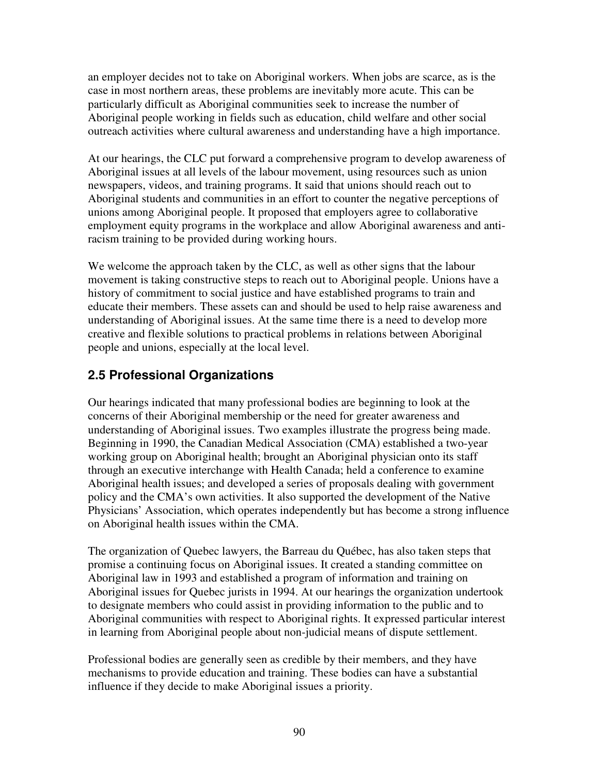an employer decides not to take on Aboriginal workers. When jobs are scarce, as is the case in most northern areas, these problems are inevitably more acute. This can be particularly difficult as Aboriginal communities seek to increase the number of Aboriginal people working in fields such as education, child welfare and other social outreach activities where cultural awareness and understanding have a high importance.

At our hearings, the CLC put forward a comprehensive program to develop awareness of Aboriginal issues at all levels of the labour movement, using resources such as union newspapers, videos, and training programs. It said that unions should reach out to Aboriginal students and communities in an effort to counter the negative perceptions of unions among Aboriginal people. It proposed that employers agree to collaborative employment equity programs in the workplace and allow Aboriginal awareness and antiracism training to be provided during working hours.

We welcome the approach taken by the CLC, as well as other signs that the labour movement is taking constructive steps to reach out to Aboriginal people. Unions have a history of commitment to social justice and have established programs to train and educate their members. These assets can and should be used to help raise awareness and understanding of Aboriginal issues. At the same time there is a need to develop more creative and flexible solutions to practical problems in relations between Aboriginal people and unions, especially at the local level.

# **2.5 Professional Organizations**

Our hearings indicated that many professional bodies are beginning to look at the concerns of their Aboriginal membership or the need for greater awareness and understanding of Aboriginal issues. Two examples illustrate the progress being made. Beginning in 1990, the Canadian Medical Association (CMA) established a two-year working group on Aboriginal health; brought an Aboriginal physician onto its staff through an executive interchange with Health Canada; held a conference to examine Aboriginal health issues; and developed a series of proposals dealing with government policy and the CMA's own activities. It also supported the development of the Native Physicians' Association, which operates independently but has become a strong influence on Aboriginal health issues within the CMA.

The organization of Quebec lawyers, the Barreau du Québec, has also taken steps that promise a continuing focus on Aboriginal issues. It created a standing committee on Aboriginal law in 1993 and established a program of information and training on Aboriginal issues for Quebec jurists in 1994. At our hearings the organization undertook to designate members who could assist in providing information to the public and to Aboriginal communities with respect to Aboriginal rights. It expressed particular interest in learning from Aboriginal people about non-judicial means of dispute settlement.

Professional bodies are generally seen as credible by their members, and they have mechanisms to provide education and training. These bodies can have a substantial influence if they decide to make Aboriginal issues a priority.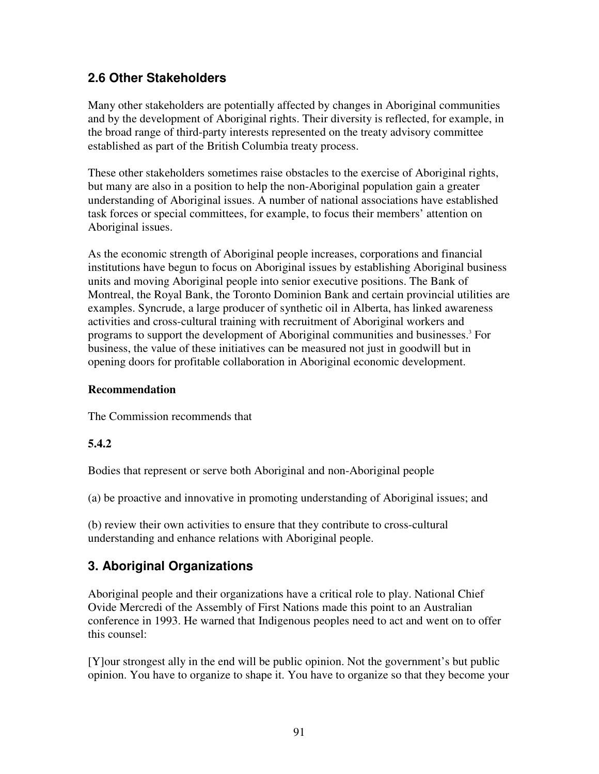## **2.6 Other Stakeholders**

Many other stakeholders are potentially affected by changes in Aboriginal communities and by the development of Aboriginal rights. Their diversity is reflected, for example, in the broad range of third-party interests represented on the treaty advisory committee established as part of the British Columbia treaty process.

These other stakeholders sometimes raise obstacles to the exercise of Aboriginal rights, but many are also in a position to help the non-Aboriginal population gain a greater understanding of Aboriginal issues. A number of national associations have established task forces or special committees, for example, to focus their members' attention on Aboriginal issues.

As the economic strength of Aboriginal people increases, corporations and financial institutions have begun to focus on Aboriginal issues by establishing Aboriginal business units and moving Aboriginal people into senior executive positions. The Bank of Montreal, the Royal Bank, the Toronto Dominion Bank and certain provincial utilities are examples. Syncrude, a large producer of synthetic oil in Alberta, has linked awareness activities and cross-cultural training with recruitment of Aboriginal workers and programs to support the development of Aboriginal communities and businesses. <sup>3</sup> For business, the value of these initiatives can be measured not just in goodwill but in opening doors for profitable collaboration in Aboriginal economic development.

#### **Recommendation**

The Commission recommends that

### **5.4.2**

Bodies that represent or serve both Aboriginal and non-Aboriginal people

(a) be proactive and innovative in promoting understanding of Aboriginal issues; and

(b) review their own activities to ensure that they contribute to cross-cultural understanding and enhance relations with Aboriginal people.

# **3. Aboriginal Organizations**

Aboriginal people and their organizations have a critical role to play. National Chief Ovide Mercredi of the Assembly of First Nations made this point to an Australian conference in 1993. He warned that Indigenous peoples need to act and went on to offer this counsel:

[Y]our strongest ally in the end will be public opinion. Not the government's but public opinion. You have to organize to shape it. You have to organize so that they become your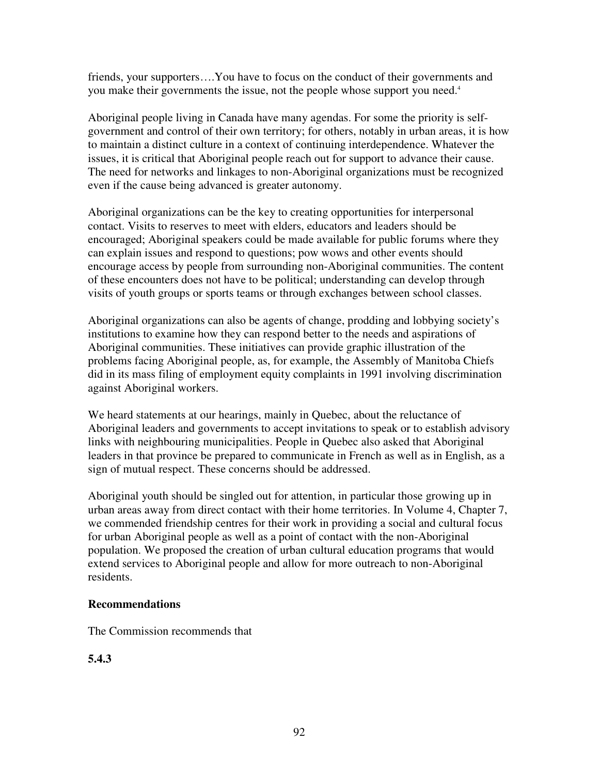friends, your supporters….You have to focus on the conduct of their governments and you make their governments the issue, not the people whose support you need. 4

Aboriginal people living in Canada have many agendas. For some the priority is selfgovernment and control of their own territory; for others, notably in urban areas, it is how to maintain a distinct culture in a context of continuing interdependence. Whatever the issues, it is critical that Aboriginal people reach out for support to advance their cause. The need for networks and linkages to non-Aboriginal organizations must be recognized even if the cause being advanced is greater autonomy.

Aboriginal organizations can be the key to creating opportunities for interpersonal contact. Visits to reserves to meet with elders, educators and leaders should be encouraged; Aboriginal speakers could be made available for public forums where they can explain issues and respond to questions; pow wows and other events should encourage access by people from surrounding non-Aboriginal communities. The content of these encounters does not have to be political; understanding can develop through visits of youth groups or sports teams or through exchanges between school classes.

Aboriginal organizations can also be agents of change, prodding and lobbying society's institutions to examine how they can respond better to the needs and aspirations of Aboriginal communities. These initiatives can provide graphic illustration of the problems facing Aboriginal people, as, for example, the Assembly of Manitoba Chiefs did in its mass filing of employment equity complaints in 1991 involving discrimination against Aboriginal workers.

We heard statements at our hearings, mainly in Quebec, about the reluctance of Aboriginal leaders and governments to accept invitations to speak or to establish advisory links with neighbouring municipalities. People in Quebec also asked that Aboriginal leaders in that province be prepared to communicate in French as well as in English, as a sign of mutual respect. These concerns should be addressed.

Aboriginal youth should be singled out for attention, in particular those growing up in urban areas away from direct contact with their home territories. In Volume 4, Chapter 7, we commended friendship centres for their work in providing a social and cultural focus for urban Aboriginal people as well as a point of contact with the non-Aboriginal population. We proposed the creation of urban cultural education programs that would extend services to Aboriginal people and allow for more outreach to non-Aboriginal residents.

#### **Recommendations**

The Commission recommends that

#### **5.4.3**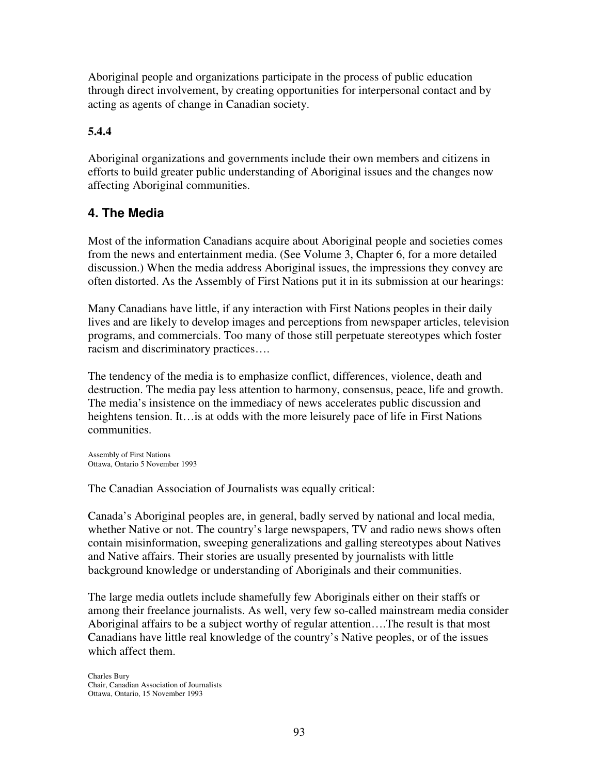Aboriginal people and organizations participate in the process of public education through direct involvement, by creating opportunities for interpersonal contact and by acting as agents of change in Canadian society.

### **5.4.4**

Aboriginal organizations and governments include their own members and citizens in efforts to build greater public understanding of Aboriginal issues and the changes now affecting Aboriginal communities.

## **4. The Media**

Most of the information Canadians acquire about Aboriginal people and societies comes from the news and entertainment media. (See Volume 3, Chapter 6, for a more detailed discussion.) When the media address Aboriginal issues, the impressions they convey are often distorted. As the Assembly of First Nations put it in its submission at our hearings:

Many Canadians have little, if any interaction with First Nations peoples in their daily lives and are likely to develop images and perceptions from newspaper articles, television programs, and commercials. Too many of those still perpetuate stereotypes which foster racism and discriminatory practices….

The tendency of the media is to emphasize conflict, differences, violence, death and destruction. The media pay less attention to harmony, consensus, peace, life and growth. The media's insistence on the immediacy of news accelerates public discussion and heightens tension. It…is at odds with the more leisurely pace of life in First Nations communities.

Assembly of First Nations Ottawa, Ontario 5 November 1993

The Canadian Association of Journalists was equally critical:

Canada's Aboriginal peoples are, in general, badly served by national and local media, whether Native or not. The country's large newspapers, TV and radio news shows often contain misinformation, sweeping generalizations and galling stereotypes about Natives and Native affairs. Their stories are usually presented by journalists with little background knowledge or understanding of Aboriginals and their communities.

The large media outlets include shamefully few Aboriginals either on their staffs or among their freelance journalists. As well, very few so-called mainstream media consider Aboriginal affairs to be a subject worthy of regular attention….The result is that most Canadians have little real knowledge of the country's Native peoples, or of the issues which affect them.

Charles Bury Chair, Canadian Association of Journalists Ottawa, Ontario, 15 November 1993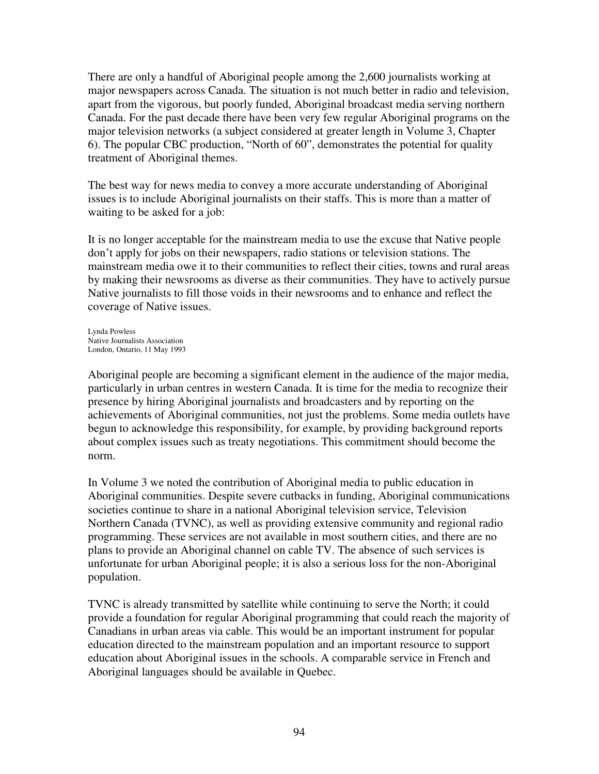There are only a handful of Aboriginal people among the 2,600 journalists working at major newspapers across Canada. The situation is not much better in radio and television, apart from the vigorous, but poorly funded, Aboriginal broadcast media serving northern Canada. For the past decade there have been very few regular Aboriginal programs on the major television networks (a subject considered at greater length in Volume 3, Chapter 6). The popular CBC production, "North of 60", demonstrates the potential for quality treatment of Aboriginal themes.

The best way for news media to convey a more accurate understanding of Aboriginal issues is to include Aboriginal journalists on their staffs. This is more than a matter of waiting to be asked for a job:

It is no longer acceptable for the mainstream media to use the excuse that Native people don't apply for jobs on their newspapers, radio stations or television stations. The mainstream media owe it to their communities to reflect their cities, towns and rural areas by making their newsrooms as diverse as their communities. They have to actively pursue Native journalists to fill those voids in their newsrooms and to enhance and reflect the coverage of Native issues.

Lynda Powless Native Journalists Association London, Ontario, 11 May 1993

Aboriginal people are becoming a significant element in the audience of the major media, particularly in urban centres in western Canada. It is time for the media to recognize their presence by hiring Aboriginal journalists and broadcasters and by reporting on the achievements of Aboriginal communities, not just the problems. Some media outlets have begun to acknowledge this responsibility, for example, by providing background reports about complex issues such as treaty negotiations. This commitment should become the norm.

In Volume 3 we noted the contribution of Aboriginal media to public education in Aboriginal communities. Despite severe cutbacks in funding, Aboriginal communications societies continue to share in a national Aboriginal television service, Television Northern Canada (TVNC), as well as providing extensive community and regional radio programming. These services are not available in most southern cities, and there are no plans to provide an Aboriginal channel on cable TV. The absence of such services is unfortunate for urban Aboriginal people; it is also a serious loss for the non-Aboriginal population.

TVNC is already transmitted by satellite while continuing to serve the North; it could provide a foundation for regular Aboriginal programming that could reach the majority of Canadians in urban areas via cable. This would be an important instrument for popular education directed to the mainstream population and an important resource to support education about Aboriginal issues in the schools. A comparable service in French and Aboriginal languages should be available in Quebec.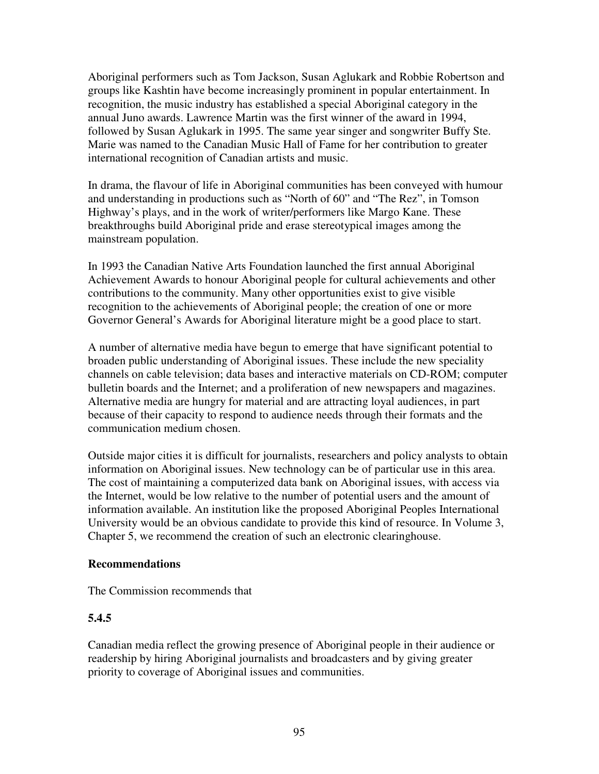Aboriginal performers such as Tom Jackson, Susan Aglukark and Robbie Robertson and groups like Kashtin have become increasingly prominent in popular entertainment. In recognition, the music industry has established a special Aboriginal category in the annual Juno awards. Lawrence Martin was the first winner of the award in 1994, followed by Susan Aglukark in 1995. The same year singer and songwriter Buffy Ste. Marie was named to the Canadian Music Hall of Fame for her contribution to greater international recognition of Canadian artists and music.

In drama, the flavour of life in Aboriginal communities has been conveyed with humour and understanding in productions such as "North of 60" and "The Rez", in Tomson Highway's plays, and in the work of writer/performers like Margo Kane. These breakthroughs build Aboriginal pride and erase stereotypical images among the mainstream population.

In 1993 the Canadian Native Arts Foundation launched the first annual Aboriginal Achievement Awards to honour Aboriginal people for cultural achievements and other contributions to the community. Many other opportunities exist to give visible recognition to the achievements of Aboriginal people; the creation of one or more Governor General's Awards for Aboriginal literature might be a good place to start.

A number of alternative media have begun to emerge that have significant potential to broaden public understanding of Aboriginal issues. These include the new speciality channels on cable television; data bases and interactive materials on CD-ROM; computer bulletin boards and the Internet; and a proliferation of new newspapers and magazines. Alternative media are hungry for material and are attracting loyal audiences, in part because of their capacity to respond to audience needs through their formats and the communication medium chosen.

Outside major cities it is difficult for journalists, researchers and policy analysts to obtain information on Aboriginal issues. New technology can be of particular use in this area. The cost of maintaining a computerized data bank on Aboriginal issues, with access via the Internet, would be low relative to the number of potential users and the amount of information available. An institution like the proposed Aboriginal Peoples International University would be an obvious candidate to provide this kind of resource. In Volume 3, Chapter 5, we recommend the creation of such an electronic clearinghouse.

#### **Recommendations**

The Commission recommends that

#### **5.4.5**

Canadian media reflect the growing presence of Aboriginal people in their audience or readership by hiring Aboriginal journalists and broadcasters and by giving greater priority to coverage of Aboriginal issues and communities.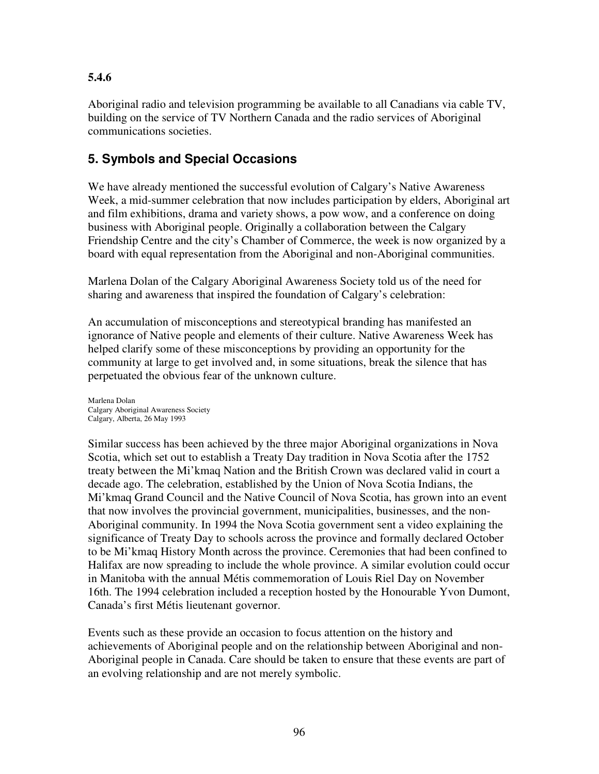### **5.4.6**

Aboriginal radio and television programming be available to all Canadians via cable TV, building on the service of TV Northern Canada and the radio services of Aboriginal communications societies.

# **5. Symbols and Special Occasions**

We have already mentioned the successful evolution of Calgary's Native Awareness Week, a mid-summer celebration that now includes participation by elders, Aboriginal art and film exhibitions, drama and variety shows, a pow wow, and a conference on doing business with Aboriginal people. Originally a collaboration between the Calgary Friendship Centre and the city's Chamber of Commerce, the week is now organized by a board with equal representation from the Aboriginal and non-Aboriginal communities.

Marlena Dolan of the Calgary Aboriginal Awareness Society told us of the need for sharing and awareness that inspired the foundation of Calgary's celebration:

An accumulation of misconceptions and stereotypical branding has manifested an ignorance of Native people and elements of their culture. Native Awareness Week has helped clarify some of these misconceptions by providing an opportunity for the community at large to get involved and, in some situations, break the silence that has perpetuated the obvious fear of the unknown culture.

Marlena Dolan Calgary Aboriginal Awareness Society Calgary, Alberta, 26 May 1993

Similar success has been achieved by the three major Aboriginal organizations in Nova Scotia, which set out to establish a Treaty Day tradition in Nova Scotia after the 1752 treaty between the Mi'kmaq Nation and the British Crown was declared valid in court a decade ago. The celebration, established by the Union of Nova Scotia Indians, the Mi'kmaq Grand Council and the Native Council of Nova Scotia, has grown into an event that now involves the provincial government, municipalities, businesses, and the non-Aboriginal community. In 1994 the Nova Scotia government sent a video explaining the significance of Treaty Day to schools across the province and formally declared October to be Mi'kmaq History Month across the province. Ceremonies that had been confined to Halifax are now spreading to include the whole province. A similar evolution could occur in Manitoba with the annual Métis commemoration of Louis Riel Day on November 16th. The 1994 celebration included a reception hosted by the Honourable Yvon Dumont, Canada's first Métis lieutenant governor.

Events such as these provide an occasion to focus attention on the history and achievements of Aboriginal people and on the relationship between Aboriginal and non-Aboriginal people in Canada. Care should be taken to ensure that these events are part of an evolving relationship and are not merely symbolic.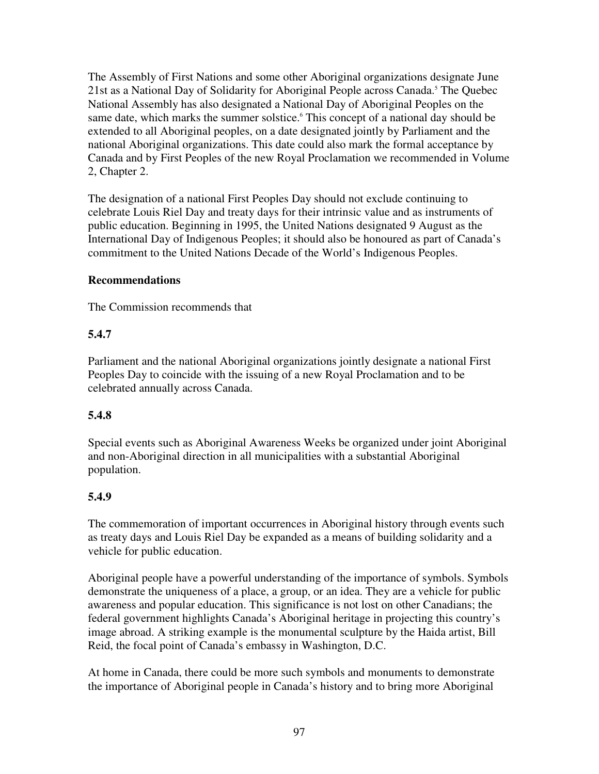The Assembly of First Nations and some other Aboriginal organizations designate June 21st as a National Day of Solidarity for Aboriginal People across Canada. <sup>5</sup> The Quebec National Assembly has also designated a National Day of Aboriginal Peoples on the same date, which marks the summer solstice. <sup>6</sup> This concept of a national day should be extended to all Aboriginal peoples, on a date designated jointly by Parliament and the national Aboriginal organizations. This date could also mark the formal acceptance by Canada and by First Peoples of the new Royal Proclamation we recommended in Volume 2, Chapter 2.

The designation of a national First Peoples Day should not exclude continuing to celebrate Louis Riel Day and treaty days for their intrinsic value and as instruments of public education. Beginning in 1995, the United Nations designated 9 August as the International Day of Indigenous Peoples; it should also be honoured as part of Canada's commitment to the United Nations Decade of the World's Indigenous Peoples.

#### **Recommendations**

The Commission recommends that

### **5.4.7**

Parliament and the national Aboriginal organizations jointly designate a national First Peoples Day to coincide with the issuing of a new Royal Proclamation and to be celebrated annually across Canada.

## **5.4.8**

Special events such as Aboriginal Awareness Weeks be organized under joint Aboriginal and non-Aboriginal direction in all municipalities with a substantial Aboriginal population.

### **5.4.9**

The commemoration of important occurrences in Aboriginal history through events such as treaty days and Louis Riel Day be expanded as a means of building solidarity and a vehicle for public education.

Aboriginal people have a powerful understanding of the importance of symbols. Symbols demonstrate the uniqueness of a place, a group, or an idea. They are a vehicle for public awareness and popular education. This significance is not lost on other Canadians; the federal government highlights Canada's Aboriginal heritage in projecting this country's image abroad. A striking example is the monumental sculpture by the Haida artist, Bill Reid, the focal point of Canada's embassy in Washington, D.C.

At home in Canada, there could be more such symbols and monuments to demonstrate the importance of Aboriginal people in Canada's history and to bring more Aboriginal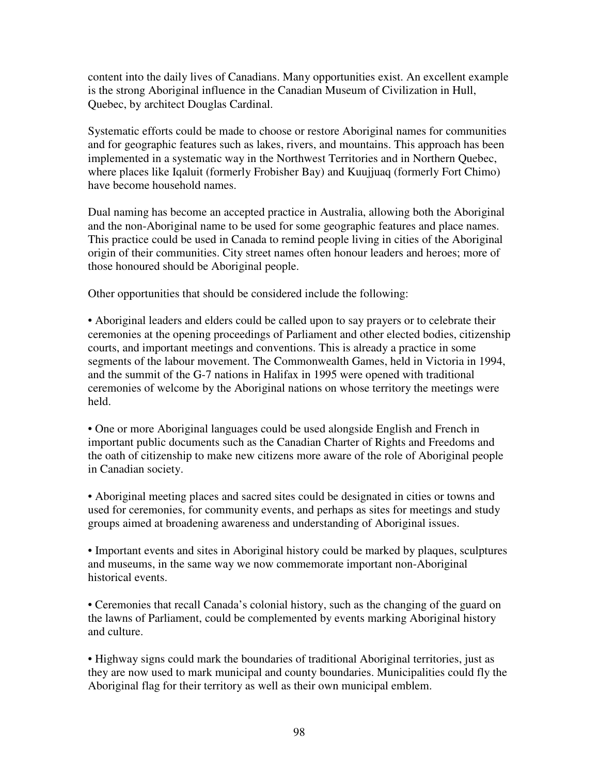content into the daily lives of Canadians. Many opportunities exist. An excellent example is the strong Aboriginal influence in the Canadian Museum of Civilization in Hull, Quebec, by architect Douglas Cardinal.

Systematic efforts could be made to choose or restore Aboriginal names for communities and for geographic features such as lakes, rivers, and mountains. This approach has been implemented in a systematic way in the Northwest Territories and in Northern Quebec, where places like Iqaluit (formerly Frobisher Bay) and Kuujjuaq (formerly Fort Chimo) have become household names.

Dual naming has become an accepted practice in Australia, allowing both the Aboriginal and the non-Aboriginal name to be used for some geographic features and place names. This practice could be used in Canada to remind people living in cities of the Aboriginal origin of their communities. City street names often honour leaders and heroes; more of those honoured should be Aboriginal people.

Other opportunities that should be considered include the following:

• Aboriginal leaders and elders could be called upon to say prayers or to celebrate their ceremonies at the opening proceedings of Parliament and other elected bodies, citizenship courts, and important meetings and conventions. This is already a practice in some segments of the labour movement. The Commonwealth Games, held in Victoria in 1994, and the summit of the G-7 nations in Halifax in 1995 were opened with traditional ceremonies of welcome by the Aboriginal nations on whose territory the meetings were held.

• One or more Aboriginal languages could be used alongside English and French in important public documents such as the Canadian Charter of Rights and Freedoms and the oath of citizenship to make new citizens more aware of the role of Aboriginal people in Canadian society.

• Aboriginal meeting places and sacred sites could be designated in cities or towns and used for ceremonies, for community events, and perhaps as sites for meetings and study groups aimed at broadening awareness and understanding of Aboriginal issues.

• Important events and sites in Aboriginal history could be marked by plaques, sculptures and museums, in the same way we now commemorate important non-Aboriginal historical events.

• Ceremonies that recall Canada's colonial history, such as the changing of the guard on the lawns of Parliament, could be complemented by events marking Aboriginal history and culture.

• Highway signs could mark the boundaries of traditional Aboriginal territories, just as they are now used to mark municipal and county boundaries. Municipalities could fly the Aboriginal flag for their territory as well as their own municipal emblem.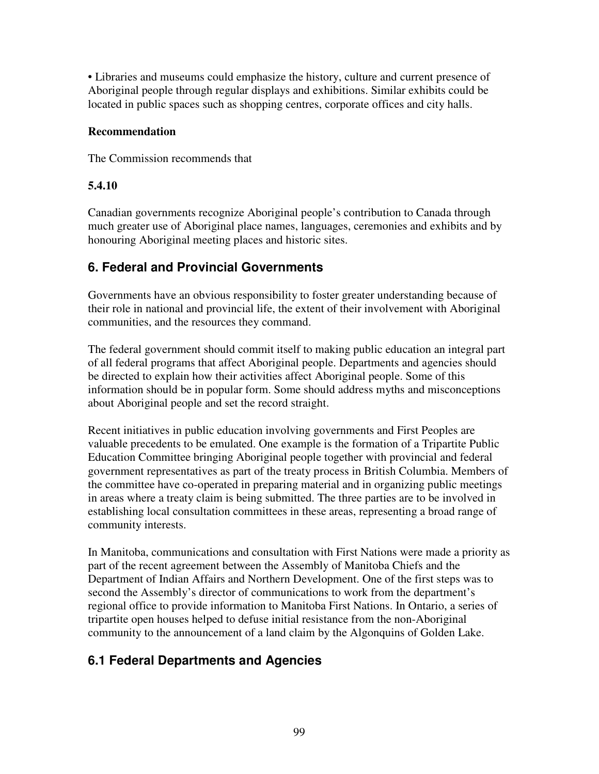• Libraries and museums could emphasize the history, culture and current presence of Aboriginal people through regular displays and exhibitions. Similar exhibits could be located in public spaces such as shopping centres, corporate offices and city halls.

### **Recommendation**

The Commission recommends that

### **5.4.10**

Canadian governments recognize Aboriginal people's contribution to Canada through much greater use of Aboriginal place names, languages, ceremonies and exhibits and by honouring Aboriginal meeting places and historic sites.

# **6. Federal and Provincial Governments**

Governments have an obvious responsibility to foster greater understanding because of their role in national and provincial life, the extent of their involvement with Aboriginal communities, and the resources they command.

The federal government should commit itself to making public education an integral part of all federal programs that affect Aboriginal people. Departments and agencies should be directed to explain how their activities affect Aboriginal people. Some of this information should be in popular form. Some should address myths and misconceptions about Aboriginal people and set the record straight.

Recent initiatives in public education involving governments and First Peoples are valuable precedents to be emulated. One example is the formation of a Tripartite Public Education Committee bringing Aboriginal people together with provincial and federal government representatives as part of the treaty process in British Columbia. Members of the committee have co-operated in preparing material and in organizing public meetings in areas where a treaty claim is being submitted. The three parties are to be involved in establishing local consultation committees in these areas, representing a broad range of community interests.

In Manitoba, communications and consultation with First Nations were made a priority as part of the recent agreement between the Assembly of Manitoba Chiefs and the Department of Indian Affairs and Northern Development. One of the first steps was to second the Assembly's director of communications to work from the department's regional office to provide information to Manitoba First Nations. In Ontario, a series of tripartite open houses helped to defuse initial resistance from the non-Aboriginal community to the announcement of a land claim by the Algonquins of Golden Lake.

# **6.1 Federal Departments and Agencies**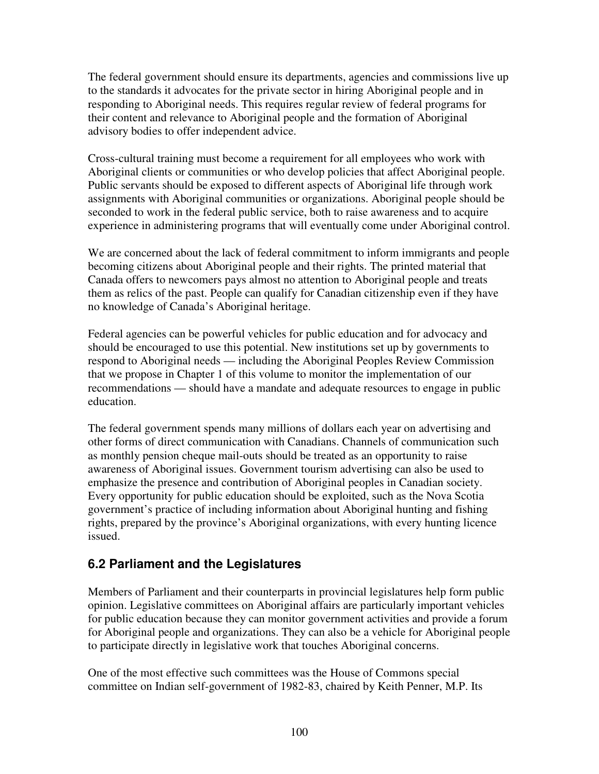The federal government should ensure its departments, agencies and commissions live up to the standards it advocates for the private sector in hiring Aboriginal people and in responding to Aboriginal needs. This requires regular review of federal programs for their content and relevance to Aboriginal people and the formation of Aboriginal advisory bodies to offer independent advice.

Cross-cultural training must become a requirement for all employees who work with Aboriginal clients or communities or who develop policies that affect Aboriginal people. Public servants should be exposed to different aspects of Aboriginal life through work assignments with Aboriginal communities or organizations. Aboriginal people should be seconded to work in the federal public service, both to raise awareness and to acquire experience in administering programs that will eventually come under Aboriginal control.

We are concerned about the lack of federal commitment to inform immigrants and people becoming citizens about Aboriginal people and their rights. The printed material that Canada offers to newcomers pays almost no attention to Aboriginal people and treats them as relics of the past. People can qualify for Canadian citizenship even if they have no knowledge of Canada's Aboriginal heritage.

Federal agencies can be powerful vehicles for public education and for advocacy and should be encouraged to use this potential. New institutions set up by governments to respond to Aboriginal needs — including the Aboriginal Peoples Review Commission that we propose in Chapter 1 of this volume to monitor the implementation of our recommendations — should have a mandate and adequate resources to engage in public education.

The federal government spends many millions of dollars each year on advertising and other forms of direct communication with Canadians. Channels of communication such as monthly pension cheque mail-outs should be treated as an opportunity to raise awareness of Aboriginal issues. Government tourism advertising can also be used to emphasize the presence and contribution of Aboriginal peoples in Canadian society. Every opportunity for public education should be exploited, such as the Nova Scotia government's practice of including information about Aboriginal hunting and fishing rights, prepared by the province's Aboriginal organizations, with every hunting licence issued.

## **6.2 Parliament and the Legislatures**

Members of Parliament and their counterparts in provincial legislatures help form public opinion. Legislative committees on Aboriginal affairs are particularly important vehicles for public education because they can monitor government activities and provide a forum for Aboriginal people and organizations. They can also be a vehicle for Aboriginal people to participate directly in legislative work that touches Aboriginal concerns.

One of the most effective such committees was the House of Commons special committee on Indian self-government of 1982-83, chaired by Keith Penner, M.P. Its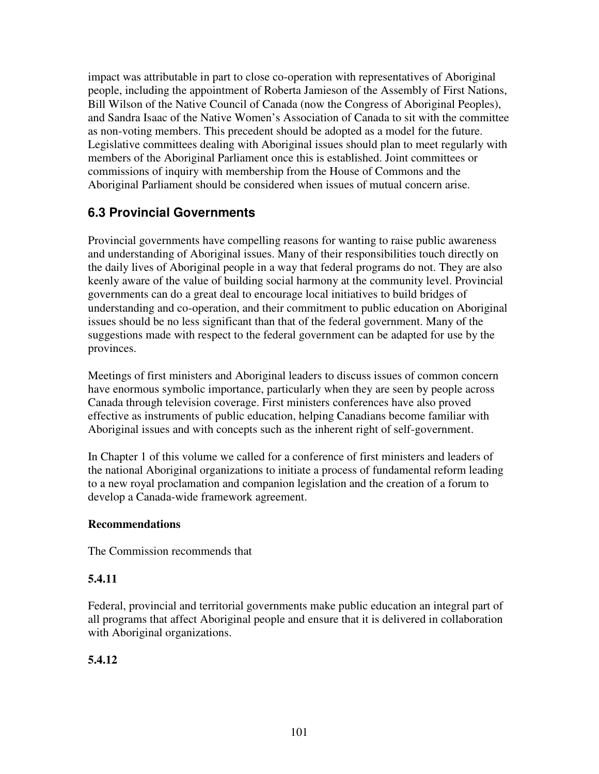impact was attributable in part to close co-operation with representatives of Aboriginal people, including the appointment of Roberta Jamieson of the Assembly of First Nations, Bill Wilson of the Native Council of Canada (now the Congress of Aboriginal Peoples), and Sandra Isaac of the Native Women's Association of Canada to sit with the committee as non-voting members. This precedent should be adopted as a model for the future. Legislative committees dealing with Aboriginal issues should plan to meet regularly with members of the Aboriginal Parliament once this is established. Joint committees or commissions of inquiry with membership from the House of Commons and the Aboriginal Parliament should be considered when issues of mutual concern arise.

## **6.3 Provincial Governments**

Provincial governments have compelling reasons for wanting to raise public awareness and understanding of Aboriginal issues. Many of their responsibilities touch directly on the daily lives of Aboriginal people in a way that federal programs do not. They are also keenly aware of the value of building social harmony at the community level. Provincial governments can do a great deal to encourage local initiatives to build bridges of understanding and co-operation, and their commitment to public education on Aboriginal issues should be no less significant than that of the federal government. Many of the suggestions made with respect to the federal government can be adapted for use by the provinces.

Meetings of first ministers and Aboriginal leaders to discuss issues of common concern have enormous symbolic importance, particularly when they are seen by people across Canada through television coverage. First ministers conferences have also proved effective as instruments of public education, helping Canadians become familiar with Aboriginal issues and with concepts such as the inherent right of self-government.

In Chapter 1 of this volume we called for a conference of first ministers and leaders of the national Aboriginal organizations to initiate a process of fundamental reform leading to a new royal proclamation and companion legislation and the creation of a forum to develop a Canada-wide framework agreement.

#### **Recommendations**

The Commission recommends that

### **5.4.11**

Federal, provincial and territorial governments make public education an integral part of all programs that affect Aboriginal people and ensure that it is delivered in collaboration with Aboriginal organizations.

### **5.4.12**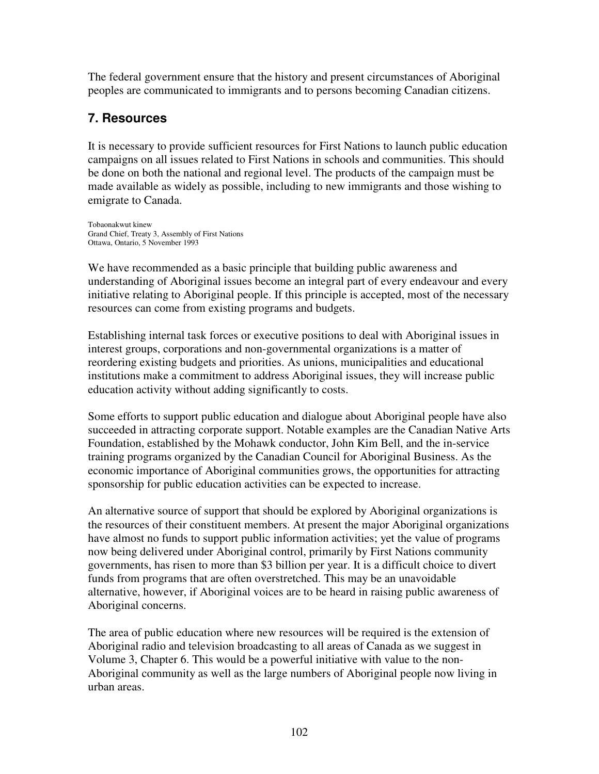The federal government ensure that the history and present circumstances of Aboriginal peoples are communicated to immigrants and to persons becoming Canadian citizens.

## **7. Resources**

It is necessary to provide sufficient resources for First Nations to launch public education campaigns on all issues related to First Nations in schools and communities. This should be done on both the national and regional level. The products of the campaign must be made available as widely as possible, including to new immigrants and those wishing to emigrate to Canada.

Tobaonakwut kinew Grand Chief, Treaty 3, Assembly of First Nations Ottawa, Ontario, 5 November 1993

We have recommended as a basic principle that building public awareness and understanding of Aboriginal issues become an integral part of every endeavour and every initiative relating to Aboriginal people. If this principle is accepted, most of the necessary resources can come from existing programs and budgets.

Establishing internal task forces or executive positions to deal with Aboriginal issues in interest groups, corporations and non-governmental organizations is a matter of reordering existing budgets and priorities. As unions, municipalities and educational institutions make a commitment to address Aboriginal issues, they will increase public education activity without adding significantly to costs.

Some efforts to support public education and dialogue about Aboriginal people have also succeeded in attracting corporate support. Notable examples are the Canadian Native Arts Foundation, established by the Mohawk conductor, John Kim Bell, and the in-service training programs organized by the Canadian Council for Aboriginal Business. As the economic importance of Aboriginal communities grows, the opportunities for attracting sponsorship for public education activities can be expected to increase.

An alternative source of support that should be explored by Aboriginal organizations is the resources of their constituent members. At present the major Aboriginal organizations have almost no funds to support public information activities; yet the value of programs now being delivered under Aboriginal control, primarily by First Nations community governments, has risen to more than \$3 billion per year. It is a difficult choice to divert funds from programs that are often overstretched. This may be an unavoidable alternative, however, if Aboriginal voices are to be heard in raising public awareness of Aboriginal concerns.

The area of public education where new resources will be required is the extension of Aboriginal radio and television broadcasting to all areas of Canada as we suggest in Volume 3, Chapter 6. This would be a powerful initiative with value to the non-Aboriginal community as well as the large numbers of Aboriginal people now living in urban areas.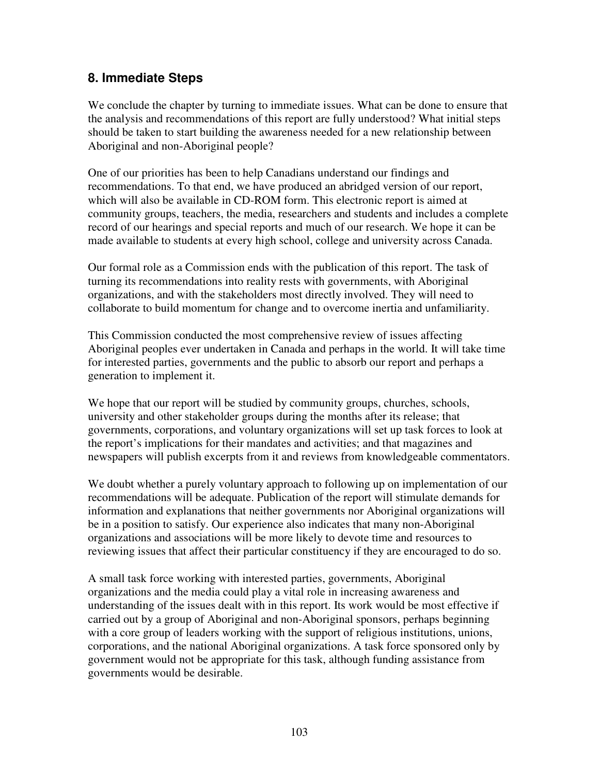## **8. Immediate Steps**

We conclude the chapter by turning to immediate issues. What can be done to ensure that the analysis and recommendations of this report are fully understood? What initial steps should be taken to start building the awareness needed for a new relationship between Aboriginal and non-Aboriginal people?

One of our priorities has been to help Canadians understand our findings and recommendations. To that end, we have produced an abridged version of our report, which will also be available in CD-ROM form. This electronic report is aimed at community groups, teachers, the media, researchers and students and includes a complete record of our hearings and special reports and much of our research. We hope it can be made available to students at every high school, college and university across Canada.

Our formal role as a Commission ends with the publication of this report. The task of turning its recommendations into reality rests with governments, with Aboriginal organizations, and with the stakeholders most directly involved. They will need to collaborate to build momentum for change and to overcome inertia and unfamiliarity.

This Commission conducted the most comprehensive review of issues affecting Aboriginal peoples ever undertaken in Canada and perhaps in the world. It will take time for interested parties, governments and the public to absorb our report and perhaps a generation to implement it.

We hope that our report will be studied by community groups, churches, schools, university and other stakeholder groups during the months after its release; that governments, corporations, and voluntary organizations will set up task forces to look at the report's implications for their mandates and activities; and that magazines and newspapers will publish excerpts from it and reviews from knowledgeable commentators.

We doubt whether a purely voluntary approach to following up on implementation of our recommendations will be adequate. Publication of the report will stimulate demands for information and explanations that neither governments nor Aboriginal organizations will be in a position to satisfy. Our experience also indicates that many non-Aboriginal organizations and associations will be more likely to devote time and resources to reviewing issues that affect their particular constituency if they are encouraged to do so.

A small task force working with interested parties, governments, Aboriginal organizations and the media could play a vital role in increasing awareness and understanding of the issues dealt with in this report. Its work would be most effective if carried out by a group of Aboriginal and non-Aboriginal sponsors, perhaps beginning with a core group of leaders working with the support of religious institutions, unions, corporations, and the national Aboriginal organizations. A task force sponsored only by government would not be appropriate for this task, although funding assistance from governments would be desirable.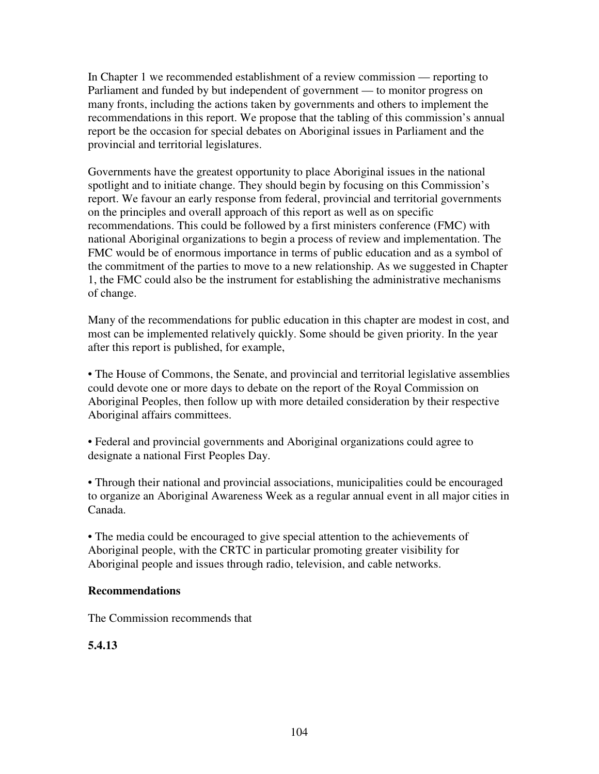In Chapter 1 we recommended establishment of a review commission — reporting to Parliament and funded by but independent of government — to monitor progress on many fronts, including the actions taken by governments and others to implement the recommendations in this report. We propose that the tabling of this commission's annual report be the occasion for special debates on Aboriginal issues in Parliament and the provincial and territorial legislatures.

Governments have the greatest opportunity to place Aboriginal issues in the national spotlight and to initiate change. They should begin by focusing on this Commission's report. We favour an early response from federal, provincial and territorial governments on the principles and overall approach of this report as well as on specific recommendations. This could be followed by a first ministers conference (FMC) with national Aboriginal organizations to begin a process of review and implementation. The FMC would be of enormous importance in terms of public education and as a symbol of the commitment of the parties to move to a new relationship. As we suggested in Chapter 1, the FMC could also be the instrument for establishing the administrative mechanisms of change.

Many of the recommendations for public education in this chapter are modest in cost, and most can be implemented relatively quickly. Some should be given priority. In the year after this report is published, for example,

• The House of Commons, the Senate, and provincial and territorial legislative assemblies could devote one or more days to debate on the report of the Royal Commission on Aboriginal Peoples, then follow up with more detailed consideration by their respective Aboriginal affairs committees.

• Federal and provincial governments and Aboriginal organizations could agree to designate a national First Peoples Day.

• Through their national and provincial associations, municipalities could be encouraged to organize an Aboriginal Awareness Week as a regular annual event in all major cities in Canada.

• The media could be encouraged to give special attention to the achievements of Aboriginal people, with the CRTC in particular promoting greater visibility for Aboriginal people and issues through radio, television, and cable networks.

#### **Recommendations**

The Commission recommends that

#### **5.4.13**